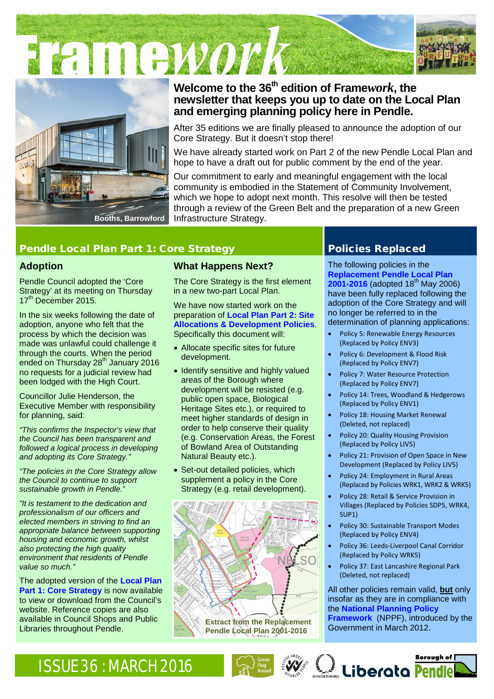FRIDEWOOD





# **Welcome to the 36th edition of [Frame](http://www.pendle.gov.uk/downloads/download/1490/framework_newsletter)***work***, the newsletter that keeps you up to date on the Local Plan and emerging planning policy here in Pendle.**

After 35 editions we are finally pleased to announce the adoption of our Core Strategy. But it doesn't stop there!

We have already started work on Part 2 of the new Pendle Local Plan and hope to have a draft out for public comment by the end of the year.

Our commitment to early and meaningful engagement with the local community is embodied in the Statement of Community Involvement, which we hope to adopt next month. This resolve will then be tested through a review of the Green Belt and the preparation of a new Green Infrastructure Strategy.

# Pendle Local Plan Part 1: Core Strategy Pendle Local Planeed

## **Adoption**

Pendle Council adopted the 'Core Strategy' at its meeting on Thursday 17<sup>th</sup> December 2015.

In the six weeks following the date of adoption, anyone who felt that the process by which the decision was made was unlawful could challenge it through the courts. When the period ended on Thursday 28<sup>th</sup> January 2016 no requests for a judicial review had been lodged with the High Court.

Councillor Julie Henderson, the Executive Member with responsibility for planning, said:

*"This confirms the Inspector's view that the Council has been transparent and followed a logical process in developing and adopting its Core Strategy."*

*"The policies in the Core Strategy allow the Council to continue to support sustainable growth in Pendle."*

*"It is testament to the dedication and professionalism of our officers and elected members in striving to find an appropriate balance between supporting housing and economic growth, whilst also protecting the high quality environment that residents of Pendle value so much."* 

The adopted version of the **[Local Plan](http://www.pendle.gov.uk/downloads/file/8723/pendle_local_plan_part_1_core_strategy)  [Part 1: Core Strategy](http://www.pendle.gov.uk/downloads/file/8723/pendle_local_plan_part_1_core_strategy)** is now available to view or download from the Council's website. Reference copies are also available in Council Shops and Public Libraries throughout Pendle.

# **What Happens Next?**

The Core Strategy is the first element in a new two-part Local Plan.

#### We have now started work on the preparation of **[Local Plan Part 2: Site](http://www.pendle.gov.uk/siteallocations)  Allocations & [Development Policies](http://www.pendle.gov.uk/siteallocations)**. Specifically this document will:

- Allocate specific sites for future development.
- Identify sensitive and highly valued areas of the Borough where development will be resisted (e.g. public open space, Biological Heritage Sites etc.), or required to meet higher standards of design in order to help conserve their quality (e.g. Conservation Areas, the Forest of Bowland Area of Outstanding Natural Beauty etc.).
- Set-out detailed policies, which supplement a policy in the Core Strategy (e.g. retail development).



The following policies in the **[Replacement Pendle Local Plan](http://www.pendle.gov.uk/localplan)  [2001-2016](http://www.pendle.gov.uk/localplan)** (adopted 18<sup>th</sup> May 2006) have been fully replaced following the adoption of the Core Strategy and will no longer be referred to in the determination of planning applications:

- Policy 5: Renewable Energy Resources (Replaced by Policy ENV3)
- Policy 6: Development & Flood Risk (Replaced by Policy ENV7)
- Policy 7: Water Resource Protection (Replaced by Policy ENV7)
- Policy 14: Trees, Woodland & Hedgerows (Replaced by Policy ENV1)
- Policy 18: Housing Market Renewal (Deleted, not replaced)
- Policy 20: Quality Housing Provision (Replaced by Policy LIV5)
- Policy 21: Provision of Open Space in New Development (Replaced by Policy LIV5)
- Policy 24: Employment in Rural Areas (Replaced by Policies WRK1, WRK2 & WRK5)
- Policy 28: Retail & Service Provision in Villages (Replaced by Policies SDP5, WRK4, SUP1)
- Policy 30: Sustainable Transport Modes (Replaced by Policy ENV4)
- Policy 36: Leeds-Liverpool Canal Corridor (Replaced by Policy WRK5)
- Policy 37: East Lancashire Regional Park (Deleted, not replaced)

All other policies remain valid, **but** only insofar as they are in compliance with the **[National Planning Policy](http://planningguidance.communities.gov.uk/)  [Framework](http://planningguidance.communities.gov.uk/)** (NPPF), introduced by the Government in March 2012.

# ISSUE 36 : MARCH 2016 Served and the state of the state of the state of the state of the state of the state of the state of the state of the state of the state of the state of the state of the state of the state of the sta